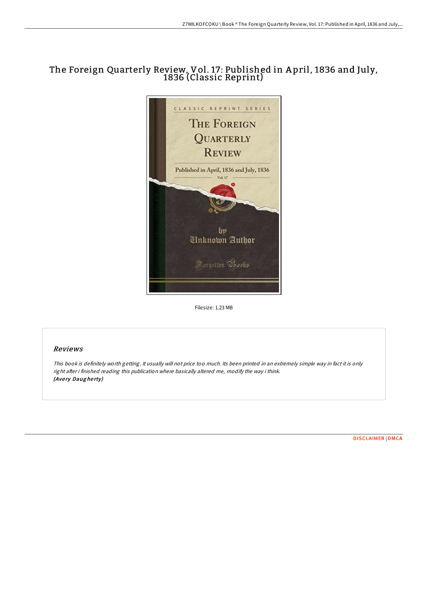# The Foreign Quarterly Review, Vol. 17: Published in A pril, 1836 and July, 1836 (Classic Reprint)



Filesize: 1.23 MB

# Reviews

This book is definitely worth getting. It usually will not price too much. Its been printed in an extremely simple way in fact it is only right after i finished reading this publication where basically altered me, modify the way i think. (Avery Daugherty)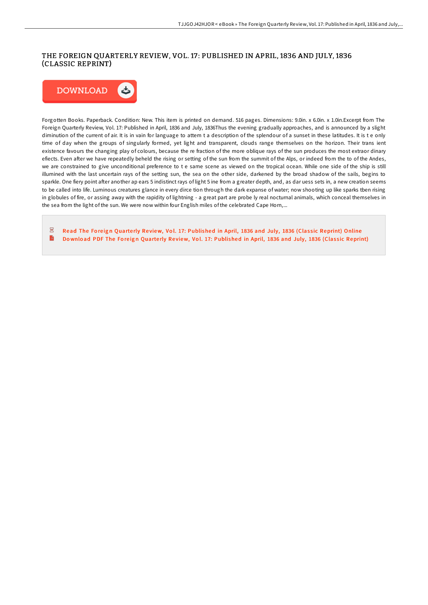# THE FOREIGN QUARTERLY REVIEW, VOL. 17 : PUBLISHED IN APRIL, 1836 AND JULY, 1836 (CLASSIC REPRINT)



Forgotten Books. Paperback. Condition: New. This item is printed on demand. 516 pages. Dimensions: 9.0in. x 6.0in. x 1.0in.Excerpt from The Foreign Quarterly Review, Vol. 17: Published in April, 1836 and July, 1836Thus the evening gradually approaches, and is announced by a slight diminution of the current of air. It is in vain for language to attem t a description of the splendour of a sunset in these latitudes. It is t e only time of day when the groups of singularly formed, yet light and transparent, clouds range themselves on the horizon. Their trans ient existence favours the changing play of colours, because the re fraction of the more oblique rays of the sun produces the most extraor dinary efiects. Even after we have repeatedly beheld the rising or setting of the sun from the summit of the Alps, or indeed from the to of the Andes, we are constrained to give unconditional preference to t e same scene as viewed on the tropical ocean. While one side of the ship is still illumined with the last uncertain rays of the setting sun, the sea on the other side, darkened by the broad shadow of the sails, begins to sparkle. One fiery point after another ap ears 5 indistinct rays of light 5 ine from a greater depth, and, as dar uess sets in, a new creation seems to be called into life. Luminous creatures glance in every dirce tion through the dark expanse of water; now shooting up like sparks tben rising in globules of fire, or assing away with the rapidity of lightning - a great part are probe ly real nocturnal animals, which conceal themselves in the sea from the light of the sun. We were now within four English miles of the celebrated Cape Horn,...

 $\overline{\mathbf{P}^{\mathbf{p}}}$ Read The Foreign Quarterly Review, Vol. 17: [Published](http://almighty24.tech/the-foreign-quarterly-review-vol-17-published-in.html) in April, 1836 and July, 1836 (Classic Reprint) Online  $\mathbf{B}$ Download PDF The Foreign Quarterly Review, Vol. 17: [Published](http://almighty24.tech/the-foreign-quarterly-review-vol-17-published-in.html) in April, 1836 and July, 1836 (Classic Reprint)